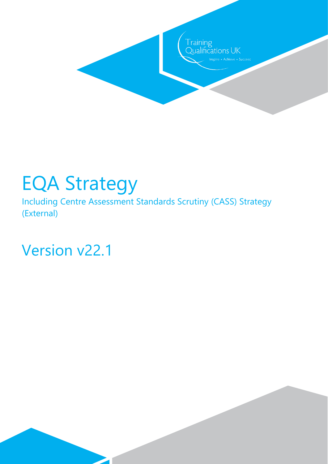

# EQA Strategy

Including Centre Assessment Standards Scrutiny (CASS) Strategy (External)

Version v22.1

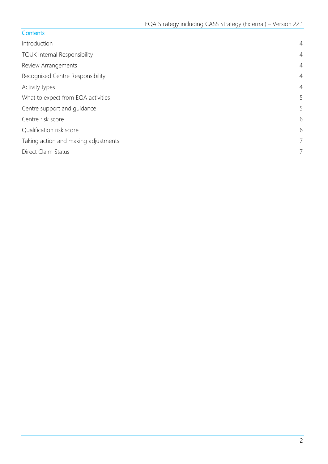|  | Contents |  |
|--|----------|--|
|  |          |  |

| Introduction                         | $\overline{4}$ |
|--------------------------------------|----------------|
| <b>TQUK Internal Responsibility</b>  | $\overline{4}$ |
| Review Arrangements                  | $\overline{4}$ |
| Recognised Centre Responsibility     | $\overline{4}$ |
| Activity types                       | $\overline{4}$ |
| What to expect from EQA activities   | 5              |
| Centre support and guidance          | 5              |
| Centre risk score                    | 6              |
| Qualification risk score             | 6              |
| Taking action and making adjustments | 7              |
| Direct Claim Status                  | 7              |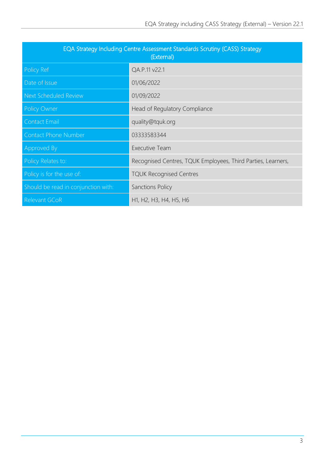| EQA Strategy Including Centre Assessment Standards Scrutiny (CASS) Strategy<br>(External) |                                                              |  |
|-------------------------------------------------------------------------------------------|--------------------------------------------------------------|--|
| Policy Ref                                                                                | QA.P.11 v22.1                                                |  |
| Date of Issue                                                                             | 01/06/2022                                                   |  |
| Next Scheduled Review                                                                     | 01/09/2022                                                   |  |
| <b>Policy Owner</b>                                                                       | Head of Regulatory Compliance                                |  |
| <b>Contact Email</b>                                                                      | quality@tquk.org                                             |  |
| <b>Contact Phone Number</b>                                                               | 03333583344                                                  |  |
| Approved By                                                                               | <b>Executive Team</b>                                        |  |
| Policy Relates to:                                                                        | Recognised Centres, TQUK Employees, Third Parties, Learners, |  |
| Policy is for the use of:                                                                 | <b>TQUK Recognised Centres</b>                               |  |
| Should be read in conjunction with:                                                       | <b>Sanctions Policy</b>                                      |  |
| Relevant GCoR                                                                             | H1, H2, H3, H4, H5, H6                                       |  |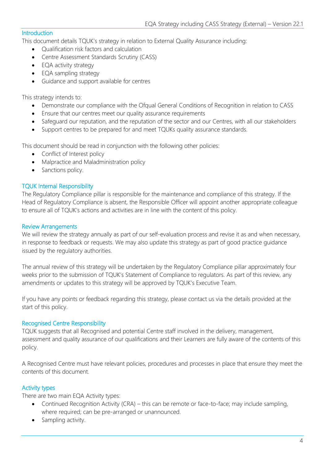#### <span id="page-3-0"></span>**Introduction**

This document details TQUK's strategy in relation to External Quality Assurance including:

- Qualification risk factors and calculation
- Centre Assessment Standards Scrutiny (CASS)
- EQA activity strategy
- EQA sampling strategy
- Guidance and support available for centres

This strategy intends to:

- Demonstrate our compliance with the Ofqual General Conditions of Recognition in relation to CASS
- Ensure that our centres meet our quality assurance requirements
- Safeguard our reputation, and the reputation of the sector and our Centres, with all our stakeholders
- Support centres to be prepared for and meet TQUKs quality assurance standards.

This document should be read in conjunction with the following other policies:

- Conflict of Interest policy
- Malpractice and Maladministration policy
- Sanctions policy.

## <span id="page-3-1"></span>TQUK Internal Responsibility

The Regulatory Compliance pillar is responsible for the maintenance and compliance of this strategy. If the Head of Regulatory Compliance is absent, the Responsible Officer will appoint another appropriate colleague to ensure all of TQUK's actions and activities are in line with the content of this policy.

## <span id="page-3-2"></span>Review Arrangements

We will review the strategy annually as part of our self-evaluation process and revise it as and when necessary, in response to feedback or requests. We may also update this strategy as part of good practice guidance issued by the regulatory authorities.

The annual review of this strategy will be undertaken by the Regulatory Compliance pillar approximately four weeks prior to the submission of TQUK's Statement of Compliance to regulators. As part of this review, any amendments or updates to this strategy will be approved by TQUK's Executive Team.

If you have any points or feedback regarding this strategy, please contact us via the details provided at the start of this policy.

## <span id="page-3-3"></span>Recognised Centre Responsibility

TQUK suggests that all Recognised and potential Centre staff involved in the delivery, management, assessment and quality assurance of our qualifications and their Learners are fully aware of the contents of this policy.

A Recognised Centre must have relevant policies, procedures and processes in place that ensure they meet the contents of this document.

## <span id="page-3-4"></span>Activity types

There are two main EQA Activity types:

- Continued Recognition Activity (CRA) this can be remote or face-to-face; may include sampling, where required; can be pre-arranged or unannounced.
- Sampling activity.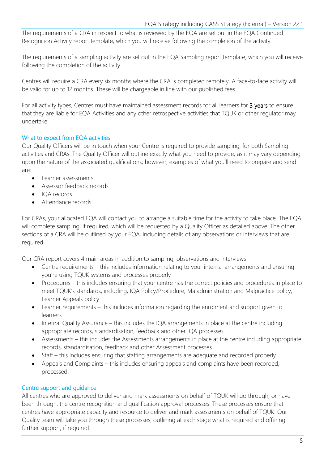The requirements of a CRA in respect to what is reviewed by the EQA are set out in the EQA Continued Recognition Activity report template, which you will receive following the completion of the activity.

The requirements of a sampling activity are set out in the EQA Sampling report template, which you will receive following the completion of the activity.

Centres will require a CRA every six months where the CRA is completed remotely. A face-to-face activity will be valid for up to 12 months. These will be chargeable in line with our published fees.

For all activity types, Centres must have maintained assessment records for all learners for 3 years to ensure that they are liable for EQA Activities and any other retrospective activities that TQUK or other regulator may undertake.

## <span id="page-4-0"></span>What to expect from EQA activities

Our Quality Officers will be in touch when your Centre is required to provide sampling, for both Sampling activities and CRAs. The Quality Officer will outline exactly what you need to provide, as it may vary depending upon the nature of the associated qualifications; however, examples of what you'll need to prepare and send are:

- Learner assessments
- Assessor feedback records
- IQA records
- Attendance records.

For CRAs, your allocated EQA will contact you to arrange a suitable time for the activity to take place. The EQA will complete sampling, if required, which will be requested by a Quality Officer as detailed above. The other sections of a CRA will be outlined by your EQA, including details of any observations or interviews that are required.

Our CRA report covers 4 main areas in addition to sampling, observations and interviews:

- Centre requirements this includes information relating to your internal arrangements and ensuring you're using TQUK systems and processes properly
- Procedures this includes ensuring that your centre has the correct policies and procedures in place to meet TQUK's standards, including, IQA Policy/Procedure, Maladministration and Malpractice policy, Learner Appeals policy
- Learner requirements this includes information regarding the enrolment and support given to learners
- Internal Quality Assurance this includes the IQA arrangements in place at the centre including appropriate records, standardisation, feedback and other IQA processes
- Assessments this includes the Assessments arrangements in place at the centre including appropriate records, standardisation, feedback and other Assessment processes
- Staff this includes ensuring that staffing arrangements are adequate and recorded properly
- Appeals and Complaints this includes ensuring appeals and complaints have been recorded, processed.

#### <span id="page-4-1"></span>Centre support and guidance

All centres who are approved to deliver and mark assessments on behalf of TQUK will go through, or have been through, the centre recognition and qualification approval processes. These processes ensure that centres have appropriate capacity and resource to deliver and mark assessments on behalf of TQUK. Our Quality team will take you through these processes, outlining at each stage what is required and offering further support, if required.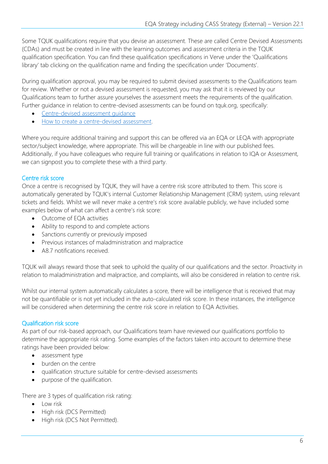Some TQUK qualifications require that you devise an assessment. These are called Centre Devised Assessments (CDAs) and must be created in line with the learning outcomes and assessment criteria in the TQUK qualification specification. You can find these qualification specifications in Verve under the 'Qualifications library' tab clicking on the qualification name and finding the specification under 'Documents'.

During qualification approval, you may be required to submit devised assessments to the Qualifications team for review. Whether or not a devised assessment is requested, you may ask that it is reviewed by our Qualifications team to further assure yourselves the assessment meets the requirements of the qualification. Further guidance in relation to centre-devised assessments can be found on tquk.org, specifically:

- [Centre-devised assessment guidance](https://www.tquk.org/centre-devised-assessment-guidance/)
- [How to create a centre-devised assessment.](https://www.tquk.org/2019/07/25/how-to-create-a-centre-devised-assessment/)

Where you require additional training and support this can be offered via an EQA or LEQA with appropriate sector/subject knowledge, where appropriate. This will be chargeable in line with our published fees. Additionally, if you have colleagues who require full training or qualifications in relation to IQA or Assessment, we can signpost you to complete these with a third party.

## <span id="page-5-0"></span>Centre risk score

Once a centre is recognised by TQUK, they will have a centre risk score attributed to them. This score is automatically generated by TQUK's internal Customer Relationship Management (CRM) system, using relevant tickets and fields. Whilst we will never make a centre's risk score available publicly, we have included some examples below of what can affect a centre's risk score:

- Outcome of EQA activities
- Ability to respond to and complete actions
- Sanctions currently or previously imposed
- Previous instances of maladministration and malpractice
- A8.7 notifications received.

TQUK will always reward those that seek to uphold the quality of our qualifications and the sector. Proactivity in relation to maladministration and malpractice, and complaints, will also be considered in relation to centre risk.

Whilst our internal system automatically calculates a score, there will be intelligence that is received that may not be quantifiable or is not yet included in the auto-calculated risk score. In these instances, the intelligence will be considered when determining the centre risk score in relation to EQA Activities.

## <span id="page-5-1"></span>Qualification risk score

As part of our risk-based approach, our Qualifications team have reviewed our qualifications portfolio to determine the appropriate risk rating. Some examples of the factors taken into account to determine these ratings have been provided below:

- assessment type
- burden on the centre
- qualification structure suitable for centre-devised assessments
- purpose of the qualification.

There are 3 types of qualification risk rating:

- Low risk
- High risk (DCS Permitted)
- High risk (DCS Not Permitted).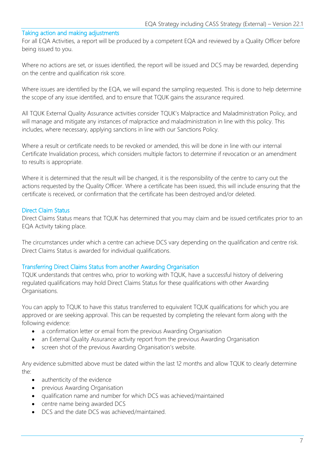#### <span id="page-6-0"></span>Taking action and making adjustments

For all EQA Activities, a report will be produced by a competent EQA and reviewed by a Quality Officer before being issued to you.

Where no actions are set, or issues identified, the report will be issued and DCS may be rewarded, depending on the centre and qualification risk score.

Where issues are identified by the EQA, we will expand the sampling requested. This is done to help determine the scope of any issue identified, and to ensure that TQUK gains the assurance required.

All TQUK External Quality Assurance activities consider TQUK's Malpractice and Maladministration Policy, and will manage and mitigate any instances of malpractice and maladministration in line with this policy. This includes, where necessary, applying sanctions in line with our Sanctions Policy.

Where a result or certificate needs to be revoked or amended, this will be done in line with our internal Certificate Invalidation process, which considers multiple factors to determine if revocation or an amendment to results is appropriate.

Where it is determined that the result will be changed, it is the responsibility of the centre to carry out the actions requested by the Quality Officer. Where a certificate has been issued, this will include ensuring that the certificate is received, or confirmation that the certificate has been destroyed and/or deleted.

#### <span id="page-6-1"></span>Direct Claim Status

Direct Claims Status means that TQUK has determined that you may claim and be issued certificates prior to an EQA Activity taking place.

The circumstances under which a centre can achieve DCS vary depending on the qualification and centre risk. Direct Claims Status is awarded for individual qualifications.

#### Transferring Direct Claims Status from another Awarding Organisation

TQUK understands that centres who, prior to working with TQUK, have a successful history of delivering regulated qualifications may hold Direct Claims Status for these qualifications with other Awarding Organisations.

You can apply to TQUK to have this status transferred to equivalent TQUK qualifications for which you are approved or are seeking approval. This can be requested by completing the relevant form along with the following evidence:

- a confirmation letter or email from the previous Awarding Organisation
- an External Quality Assurance activity report from the previous Awarding Organisation
- screen shot of the previous Awarding Organisation's website.

Any evidence submitted above must be dated within the last 12 months and allow TQUK to clearly determine the:

- authenticity of the evidence
- previous Awarding Organisation
- qualification name and number for which DCS was achieved/maintained
- centre name being awarded DCS
- DCS and the date DCS was achieved/maintained.